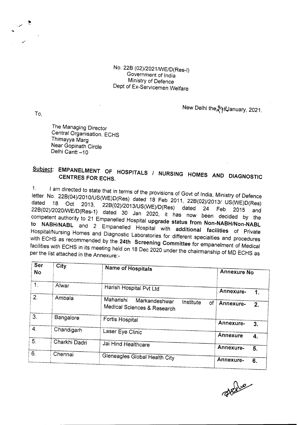No. 228 *(02)/2021IWE/D(Res\_l)* Government of India Ministry of Defence Dept of Ex-Servicemen Welfare

To,

New Delhi the  $49H$ January, 2021.

The Managing Director Central Organisation, ECHS Thimayya Marg Near Gopinath Circle Delhi Cantt -10

### Subject: EMPANELMENT OF HOSPITALS / NURSING HOMES AND DIAGNOSTIC CENTRES FOR ECHS.

1. I am directed to state that in terms of the provisions of Govt of India, Ministry of Defence letter No. 22B(04)/2010/US(WE)D(Res) dated 18 Feb 2011, *22B(02)/20131* US(WE)D(Res) dated 18 Oct 2013, *22B(02)/2013/US(WE)/D(Res)* dated 24 Feb 2015 and *22B(02)/2020IWE/D(Res\_1)* dated 30 Jan 2020, it has now been decided by the competent authority to 21 Empanelled Hospital upgrade status from Non-NABH/Non-NABL to NABH/NABL and 2 Empanelled Hospital with additional facilities of Private Hospital/Nursing Homes and Diagnostic Laboratories for different specialties and procedures with ECHS as recommended by the 24th Screening Committee for empanelment of Medical facilities with ECHS in its meeting held on 18 Dec 2020 under the chairmanship of MD ECHS as per the list attached in the Annexure:-

| Ser<br><b>No</b> | City          | Name of Hospitals                                                            | <b>Annexure No</b> |
|------------------|---------------|------------------------------------------------------------------------------|--------------------|
| 1 <sub>1</sub>   | Alwar         | Harish Hospital Pvt Ltd                                                      | Annexure-<br>1.    |
| 2 <sub>1</sub>   | Ambala        | Maharishi<br>Markandeshwar<br>Institute<br>οf<br>Medical Sciences & Research | Annexure-<br>2.    |
| 3.               | Bangalore     | Fortis Hospital                                                              | Annexure-<br>3.    |
| 4 <sub>1</sub>   | Chandigarh    | Laser Eye Clinic                                                             | Annexure<br>4.     |
| 5.               | Charkhi Dadri | Jai Hind Healthcare                                                          | Annexure-<br>5.    |
| 6.               | Chennai       | Gleneagles Global Health City                                                | Annexure-<br>6.    |

green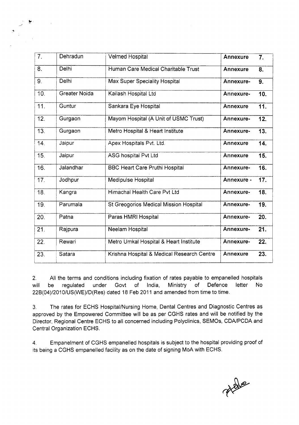| 7.  | Dehradun             | Velmed Hospital                            | Annexure        | 7.                |
|-----|----------------------|--------------------------------------------|-----------------|-------------------|
| 8.  | Delhi                | Human Care Medical Charitable Trust        | Annexure        | $\overline{8}$ .  |
| 9.  | Delhi                | Max Super Speciality Hospital              | Annexure-       | 9.                |
| 10. | <b>Greater Noida</b> | Kailash Hospital Ltd                       | Annexure-       | 10.               |
| 11. | Guntur               | Sankara Eye Hospital                       | <b>Annexure</b> | 11.               |
| 12. | Gurgaon              | Mayom Hospital (A Unit of USMC Trust)      | Annexure-       | 12.               |
| 13. | Gurgaon              | Metro Hospital & Heart Institute           | Annexure-       | 13.               |
| 14. | Jaipur               | Apex Hospitals Pvt. Ltd.                   | Annexure        | 14.               |
| 15. | Jaipur               | ASG hospital Pvt Ltd                       | Annexure        | 15.               |
| 16. | Jalandhar            | <b>BBC Heart Care Pruthi Hospital</b>      | Annexure-       | 16.               |
| 17. | Jodhpur              | <b>Medipulse Hospital</b>                  | Annexure -      | 17.               |
| 18. | Kangra               | Himachal Health Care Pvt Ltd               | Annexure-       | 18.               |
| 19. | Parumala             | St Greogorios Medical Mission Hospital     | Annexure-       | 19.               |
| 20. | Patna                | Paras HMRI Hospital                        | Annexure-       | 20.               |
| 21. | Rajpura              | Neelam Hospital                            | Annexure-       | $\overline{21}$ . |
| 22. | Rewari               | Metro Umkal Hospital & Heart Institute     | Annexure-       | $\overline{22}$ . |
| 23. | Satara               | Krishna Hospital & Medical Research Centre | Annexure        | 23.               |

2. All the terms and conditions including fixation of rates payable to empanelled hospitals will be regulated under Govt of India, Ministry of Defence letter No 22B(04)/2010/US(WE)/D(Res) dated 18 Feb 2011 and amended from time to time.

3. The rates for ECHS Hospital/Nursing Home, Dental Centres and Diagnostic Centres as approved by the Empowered Committee will be as per CGHS rates and will be notified by the Director, Regional Centre ECHS to all concerned including Polyclinics, SEMOs, CDAlPCDA and Central Organization ECHS.

4. Empanelment of CGHS empanelled hospitals is subject to the hospital providing proof of its being a CGHS empanelled facility as on the date of signing MoA with ECHS.

grede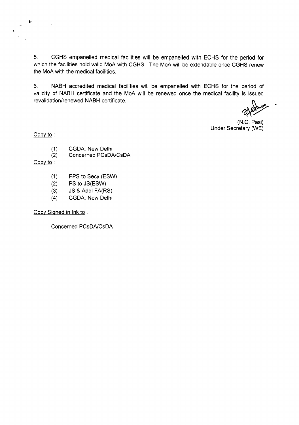5. CGHS empanelled medical facilities will be empanelled with ECHS for the period for which the facilities hold valid MoA with CGHS. The MoA will be extendable once CGHS renew the MoA with the medical facilities.

6. NABH accredited medical facilities will be empanelled with ECHS for the period of validity of NASH certificate and the MoA will be renewed once the medical facility is issued revalidation/renewed NASH certificate.

(N.C. Pasi) Under Secretary (WE)

Copy to:

- (1) CGDA, New Delhi
- (2) Concerned PCsDAlCsDA

Copy to:

- (1) PPS to Secy (ESW)
- (2) PS to JS(ESW)
- (3) JS & Addl FA(RS)
- (4) CGDA, New Delhi

Copy Signed in Ink to :

Concerned PCsDA/CsDA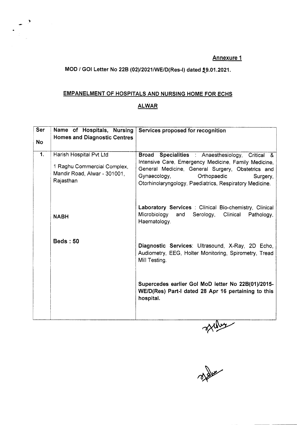### MOD / GOI Letter No 22B (02)/2021/WE/D(Res-I) dated  $29.01.2021$ .

#### EMPANELMENT OF HOSPITALS AND NURSING HOME FOR ECHS

#### ALWAR

| Ser       | Name of Hospitals, Nursing                                                                          | Services proposed for recognition                                                                                                                                                                                                                                   |
|-----------|-----------------------------------------------------------------------------------------------------|---------------------------------------------------------------------------------------------------------------------------------------------------------------------------------------------------------------------------------------------------------------------|
|           | <b>Homes and Diagnostic Centres</b>                                                                 |                                                                                                                                                                                                                                                                     |
| <b>No</b> |                                                                                                     |                                                                                                                                                                                                                                                                     |
| 1.        | Harish Hospital Pvt Ltd<br>1 Raghu Commercial Complex,<br>Mandir Road, Alwar - 301001,<br>Rajasthan | Broad Specialities : Anaesthesiology, Critical &<br>Intensive Care, Emergency Medicine, Family Medicine,<br>General Medicine, General Surgery, Obstetrics and<br>Gynaecology,<br>Orthopaedic<br>Surgery,<br>Otorhinolaryngology, Paediatrics, Respiratory Medicine. |
|           | <b>NABH</b>                                                                                         | Laboratory Services : Clinical Bio-chemistry, Clinical<br>Microbiology<br>and<br>Serology,<br>Clinical<br>Pathology,<br>Haematology.                                                                                                                                |
|           | <b>Beds: 50</b>                                                                                     | Diagnostic Services: Ultrasound, X-Ray, 2D Echo,<br>Audiometry, EEG, Holter Monitoring, Spirometry, Tread<br>Mill Testing.                                                                                                                                          |
|           |                                                                                                     | Supercedes earlier Gol MoD letter No 22B(01)/2015-<br>WE/D(Res) Part-I dated 28 Apr 16 pertaining to this<br>hospital.                                                                                                                                              |
|           |                                                                                                     | $x \sim 1$                                                                                                                                                                                                                                                          |

of the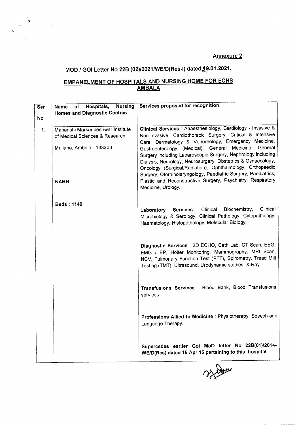## MOD / GOI Letter No 22B (02)/2021/WE/D(Res-I) dated 19.01.2021.

#### EMPANELMENT OF HOSPITALS AND NURSING HOME FOR ECHS <u>AMBAL.</u>

| Ser<br>No | <b>Nursing</b><br>Hospitals,<br>Name<br>of<br><b>Homes and Diagnostic Centres</b> | Services proposed for recognition                                                                                                                                                                                                                                                                                                                                                                          |
|-----------|-----------------------------------------------------------------------------------|------------------------------------------------------------------------------------------------------------------------------------------------------------------------------------------------------------------------------------------------------------------------------------------------------------------------------------------------------------------------------------------------------------|
| 1.        | Maharishi Markandeshwar Institute<br>of Medical Sciences & Research               | Clinical Services : Anaesthesiology, Cardiology - Invasive &<br>Non-Invasive, Cardiothoracic Surgery, Critical & Intensive<br>Care, Dermatology & Venereology, Emergency Medicine,                                                                                                                                                                                                                         |
|           | Mullana, Ambala - 133203<br><b>NABH</b>                                           | Gastroenterology (Medical), General Medicine, General<br>Surgery including Laparoscopic Surgery, Nephrology including<br>Dialysis, Neurology, Neurosurgery, Obstetrics & Gynaecology,<br>Oncology (Surgical, Radiation), Ophthalmology, Orthopaedic<br>Surgery, Otorhinolaryngology, Paediatric Surgery, Paediatrics,<br>Plastic and Reconstructive Surgery, Psychiatry, Respiratory<br>Medicine, Urology. |
|           | Beds: 1140                                                                        | Clinical<br>Biochemistry,<br>Laboratory Services: Clinical<br>Microbiology & Serology, Clinical Pathology, Cytopathology,<br>Haematology, Histopathology, Molecular Biology.                                                                                                                                                                                                                               |
|           |                                                                                   | Diagnostic Services : 2D ECHO, Cath Lab, CT Scan, EEG,<br>EMG / EP, Holter Monitoring, Mammography, MRI Scan,<br>NCV, Pulmonary Function Test (PFT), Spirometry, Tread Mill<br>Testing (TMT), Ultrasound, Urodynamic studies, X-Ray.                                                                                                                                                                       |
|           |                                                                                   | Transfusions Services : Blood Bank, Blood Transfusions<br>services.                                                                                                                                                                                                                                                                                                                                        |
|           |                                                                                   | Professions Allied to Medicine : Physiotherapy, Speech and<br>Language Therapy.                                                                                                                                                                                                                                                                                                                            |
|           |                                                                                   | Supercedes earlier Gol MoD letter No 22B(01)/2014-<br>WE/D(Res) dated 15 Apr 15 pertaining to this hospital.                                                                                                                                                                                                                                                                                               |

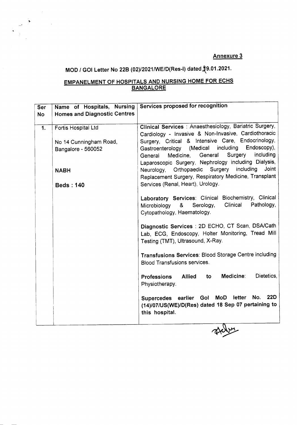# MOD / GOI Letter No 22B (02)/2021/WE/D(Res-I) dated  $29.01.2021$ .

#### EMPANELMENT OF HOSPITALS AND NURSINGHOME FOR ECHS BANGALORE

| <b>Ser</b> | Name of Hospitals, Nursing          | Services proposed for recognition                       |
|------------|-------------------------------------|---------------------------------------------------------|
| <b>No</b>  | <b>Homes and Diagnostic Centres</b> |                                                         |
|            |                                     |                                                         |
| 1.         | Fortis Hospital Ltd                 | Clinical Services : Anaesthesiology, Bariatric Surgery, |
|            |                                     | Cardiology - Invasive & Non-Invasive, Cardiothoracic    |
|            | No 14 Cunningham Road,              | Surgery, Critical & Intensive Care, Endocrinology,      |
|            | Bangalore - 560052                  | Endoscopy),<br>including<br>Gastroenterology (Medical   |
|            |                                     | Surgery<br>including<br>Medicine, General<br>General    |
|            |                                     | Laparoscopic Surgery, Nephrology including Dialysis,    |
|            | <b>NABH</b>                         | Neurology, Orthopaedic Surgery<br>including<br>Joint    |
|            |                                     | Replacement Surgery, Respiratory Medicine, Transplant   |
|            | <b>Beds: 140</b>                    | Services (Renal, Heart), Urology.                       |
|            |                                     | Laboratory Services: Clinical Biochemistry, Clinical    |
|            |                                     | Pathology,<br>Clinical<br>Serology,<br>&                |
|            |                                     | Microbiology<br>Cytopathology, Haematology.             |
|            |                                     |                                                         |
|            |                                     | Diagnostic Services : 2D ECHO, CT Scan, DSA/Cath        |
|            |                                     | Lab, ECG, Endoscopy, Holter Monitoring, Tread Mill      |
|            |                                     | Testing (TMT), Ultrasound, X-Ray.                       |
|            |                                     |                                                         |
|            |                                     | Transfusions Services: Blood Storage Centre including   |
|            |                                     | <b>Blood Transfusions services.</b>                     |
|            |                                     | <b>Medicine:</b><br>Dietetics,                          |
|            |                                     | <b>Allied</b><br><b>Professions</b><br>to to            |
|            |                                     | Physiotherapy.                                          |
|            |                                     | 22D<br>MoD letter<br>No.<br>Supercedes earlier Gol      |
|            |                                     | (14)/07/US(WE)/D(Res) dated 18 Sep 07 pertaining to     |
|            |                                     | this hospital.                                          |
|            |                                     |                                                         |
|            |                                     |                                                         |
|            |                                     |                                                         |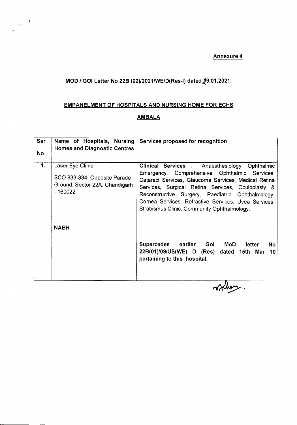## MOD / GOI Letter No 22B (02)/2021/WE/D(Res-I) dated  $$9.01.2021$ .

 $\sim$ 

### EMPANELMENT OF HOSPITALS AND NURSING HOME FOR ECHS

#### AMBALA

| Ser<br><b>No</b> | Name of Hospitals, Nursing<br><b>Homes and Diagnostic Centres</b>                              | Services proposed for recognition                                                                                                                                                                                                                                                                                                                                         |
|------------------|------------------------------------------------------------------------------------------------|---------------------------------------------------------------------------------------------------------------------------------------------------------------------------------------------------------------------------------------------------------------------------------------------------------------------------------------------------------------------------|
| 1.               | Laser Eye Clinic<br>SCO 833-834, Opposite Parade<br>Ground, Sector 22A, Chandigarh<br>- 160022 | Clinical Services : Anaesthesiology, Ophthalmic<br>Emergency, Comprehensive Ophthalmic Services,<br>Cataract Services, Glaucoma Services, Medical Retina<br>Services, Surgical Retina Services, Oculoplasty &<br>Reconstructive Surgery, Paediatric Ophthalmology,<br>Cornea Services, Refractive Services, Uvea Services,<br>Strabismus Clinic, Community Ophthalmology. |
|                  | <b>NABH</b>                                                                                    | Supercedes earlier Gol<br>MoD<br>letter<br>No.<br>22B(01)/09/US(WE) D (Res) dated 15th Mar<br>10<br>pertaining to this hospital.                                                                                                                                                                                                                                          |

where.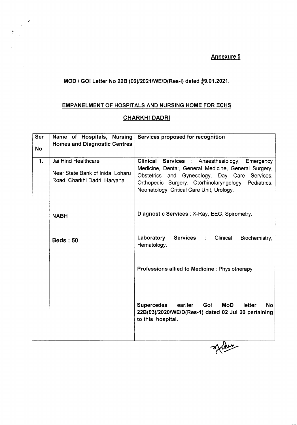### **MOD** *I* **GOI Letter No 22B (02)/2021IWE/D(Res-l) dated** ~9.01.2021.

#### **EMPANELMENT OF HOSPITALS AND NURSING HOME FOR ECHS**

#### **CHARKHI DADRI**

| Ser<br>No     | Name of Hospitals, Nursing<br><b>Homes and Diagnostic Centres</b>                       | Services proposed for recognition                                                                                                                                                                                                                                                |
|---------------|-----------------------------------------------------------------------------------------|----------------------------------------------------------------------------------------------------------------------------------------------------------------------------------------------------------------------------------------------------------------------------------|
| $\mathbf 1$ . | Jai Hind Healthcare<br>Near State Bank of Inida, Loharu<br>Road, Charkhi Dadri, Haryana | <b>Clinical</b><br><b>Services</b> : Anaesthesiology,<br>Emergency<br>Medicine, Dental, General Medicine, General Surgery,<br>Obstetrics and Gynecology, Day Care Services,<br>Orthopedic Surgery, Otorhinolaryngology, Pediatrics,<br>Neonatology, Critical Care Unit, Urology. |
|               | <b>NABH</b>                                                                             | Diagnostic Services: X-Ray, EEG, Spirometry.                                                                                                                                                                                                                                     |
|               | <b>Beds: 50</b>                                                                         | Laboratory<br><b>Services</b><br>Clinical<br>Biochemistry,<br>Hematology.                                                                                                                                                                                                        |
|               |                                                                                         | Professions allied to Medicine: Physiotherapy.                                                                                                                                                                                                                                   |
|               |                                                                                         | <b>Supercedes</b><br>earlier<br>Gol<br><b>MoD</b><br>letter<br><b>No</b><br>22B(03)/2020/WE/D(Res-1) dated 02 Jul 20 pertaining<br>to this hospital.                                                                                                                             |

stern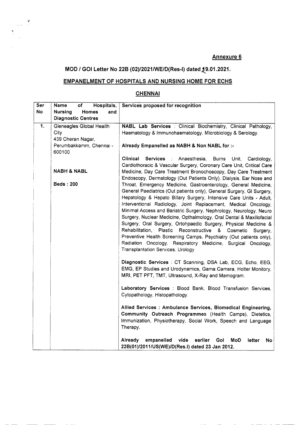# MOD / GOI Letter No 22B (02)/2021/WE/D(Res-I) dated 19.01.2021.

 $\sim$   $\alpha$ 

 $\sum_{\substack{1\leq i\leq n\\i\neq j\neq k}}\sum_{\substack{1\leq i\leq n\\i\neq j\neq k}}\sum_{\substack{1\leq i\leq n\\i\neq j\neq k}}\sum_{\substack{1\leq i\leq n\\i\neq j\neq k}}\sum_{\substack{1\leq i\leq n\\i\neq j\neq k}}\sum_{\substack{1\leq i\leq n\\i\neq j\neq k}}\sum_{\substack{1\leq i\leq n\\i\neq j\neq k}}\sum_{\substack{1\leq i\leq n\\i\neq j\neq k}}\sum_{\$ 

### EMPANELMENT OF HOSPITALS AND NURSING HOME FOR ECHS

#### **CHENNAI**

| Ser              | Name<br>Hospitals,<br>of          | Services proposed for recognition                                                    |
|------------------|-----------------------------------|--------------------------------------------------------------------------------------|
| No               | <b>Nursing</b><br>Homes<br>and    |                                                                                      |
|                  | <b>Diagnostic Centres</b>         |                                                                                      |
| $\overline{1}$ . | Gleneagles Global Health          | NABL Lab Services : Clinical Biochemistry, Clinical Pathology,                       |
|                  | City                              | Haematology & Immunohaematology, Microbiology & Serology.                            |
|                  | 439 Cheran Nagar,                 |                                                                                      |
|                  |                                   |                                                                                      |
|                  | Perumbakkamm, Chennai -<br>600100 | Already Empanelled as NABH & Non NABL for :-                                         |
|                  |                                   | Clinical<br><b>Services</b><br>Anaesthesia,<br>Burns Unit,<br>Cardiology,            |
|                  |                                   | Cardiothoracic & Vascular Surgery, Coronary Care Unit, Critical Care                 |
|                  | <b>NABH &amp; NABL</b>            | Medicine, Day Care Treatment Bronochoscopy, Day Care Treatment                       |
|                  |                                   | Endoscopy, Dermatology (Out Patients Only), Dialysis, Ear Nose and                   |
|                  | <b>Beds: 200</b>                  | Throat, Emergency Medicine, Gastroenterology, General Medicine,                      |
|                  |                                   | General Paediatrics (Out patients only), General Surgery, GI Surgery,                |
|                  |                                   | Hepatology & Hepato Billary Surgery, Intensive Care Units - Adult,                   |
|                  |                                   |                                                                                      |
|                  |                                   | Interventional Radiology, Joint Replacement, Medical Oncology,                       |
|                  |                                   | Minimal Access and Bariatric Surgery, Nephrology, Neurology, Neuro                   |
|                  |                                   | Surgery, Nuclear Medicine, Opthalmology, Oral Dental & Maxillofacial                 |
|                  |                                   | Surgery, Oral Surgery, Ortohpaedic Surgery, Physical Medicine &                      |
|                  |                                   | Rehabilitation,<br>Plastic<br>Reconstructive<br>- &<br>Cosmetic<br>Surgery,          |
|                  |                                   | Preventive Health Screening Camps, Psychiatry (Out patients only),                   |
|                  |                                   | Radiation Oncology, Respiratory Medicine, Surgical Oncology,                         |
|                  |                                   | Transplantation Services, Urology.                                                   |
|                  |                                   | Diagnostic Services : CT Scanning, DSA Lab, ECG, Echo, EEG,                          |
|                  |                                   | EMG, EP Studies and Urodynamics, Gama Camera, Holter Monitory,                       |
|                  |                                   | MRI, PET PFT, TMT, Ultrasound, X-Ray and Mamogram.                                   |
|                  |                                   |                                                                                      |
|                  |                                   | Laboratory Services : Blood Bank, Blood Transfusion Services,                        |
|                  |                                   | Cytopathology, Histopathology.                                                       |
|                  |                                   |                                                                                      |
|                  |                                   | Allied Services: Ambulance Services, Biomedical Engineering,                         |
|                  |                                   | Community Outreach Programmes (Health Camps), Dietetics,                             |
|                  |                                   | Immunization, Physiotherapy, Social Work, Speech and Language                        |
|                  |                                   | Therapy.                                                                             |
|                  |                                   |                                                                                      |
|                  |                                   | Already<br>empanelled<br>vide<br>earlier<br>Gol<br><b>MoD</b><br>letter<br><b>No</b> |
|                  |                                   | 22B(01)/2011/US(WE)/D(Res.I) dated 23 Jan 2012.                                      |
|                  |                                   |                                                                                      |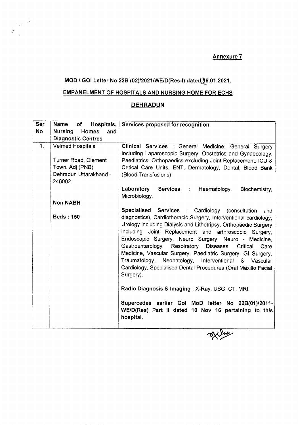# MOD / GOI Letter No 22B (02)/2021/WE/D(Res-I) dated 29.01.2021.

#### EMPANELMENT OF HOSPITALS AND NURSING HOME FOR ECHS

### **DEHRADUN**

| Ser       | <b>Name</b><br>of                     | Hospitals, Services proposed for recognition                            |
|-----------|---------------------------------------|-------------------------------------------------------------------------|
| <b>No</b> | <b>Nursing</b><br><b>Homes</b><br>and |                                                                         |
|           | <b>Diagnostic Centres</b>             |                                                                         |
| 1.        | <b>Velmed Hospitals</b>               | Clinical Services : General Medicine, General Surgery                   |
|           |                                       | including Laparoscopic Surgery, Obstetrics and Gynaecology,             |
|           | Turner Road, Clement                  | Paediatrics, Orthopaedics excluding Joint Replacement, ICU &            |
|           | Town, Adj (PNB)                       | Critical Care Units, ENT, Dermatology, Dental, Blood Bank               |
|           | Dehradun Uttarakhand -<br>248002      | (Blood Transfusions)                                                    |
|           |                                       | Laboratory Services :<br>Haematology,<br>Biochemistry,<br>Microbiology. |
|           | <b>Non NABH</b>                       |                                                                         |
|           |                                       | Specialised Services : Cardiology (consultation and                     |
|           | <b>Beds: 150</b>                      | diagnostics), Cardiothoracic Surgery, Interventional cardiology,        |
|           |                                       | Urology including Dialysis and Lithotripsy, Orthopaedic Surgery         |
|           |                                       | including Joint Replacement and arthroscopic Surgery,                   |
|           |                                       | Endoscopic Surgery, Neuro Surgery, Neuro - Medicine,                    |
|           |                                       | Gastroenterology, Respiratory Diseases, Critical Care                   |
|           |                                       | Medicine, Vascular Surgery, Paediatric Surgery, GI Surgery,             |
|           |                                       | Traumatology,<br>Neonatology, Interventional & Vascular                 |
|           |                                       | Cardiology, Specialised Dental Procedures (Oral Maxillo Facial          |
|           |                                       | Surgery).                                                               |
|           |                                       | Radio Diagnosis & Imaging: X-Ray, USG, CT, MRI.                         |
|           |                                       | Supercedes earlier Gol MoD letter No 22B(01)/2011-                      |
|           |                                       | WE/D(Res) Part II dated 10 Nov 16 pertaining to this                    |
|           |                                       | hospital.                                                               |
|           |                                       |                                                                         |
|           |                                       |                                                                         |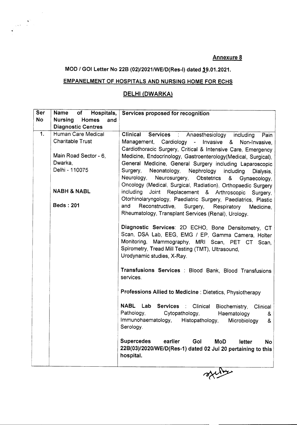### MOD / GOI Letter No 22B (02)/2021/WE/D(Res-I) dated 19.01.2021.

 $\sim$ 

## EMPANELMENT OF HOSPITALS AND NURSING HOME FOR ECHS

### DELHI (DWARKA)

| Ser              | Name<br>Hospitals,<br>of       | Services proposed for recognition                                        |
|------------------|--------------------------------|--------------------------------------------------------------------------|
| <b>No</b>        | <b>Nursing</b><br>Homes<br>and |                                                                          |
|                  | <b>Diagnostic Centres</b>      |                                                                          |
| $\overline{1}$ . | Human Care Medical             | <b>Clinical</b><br>Services : Anaesthesiology including<br>Pain          |
|                  | <b>Charitable Trust</b>        | Management, Cardiology - Invasive &<br>Non-Invasive,                     |
|                  |                                | Cardiothoracic Surgery, Critical & Intensive Care, Emergency             |
|                  | Main Road Sector - 6,          | Medicine, Endocrinology, Gastroenterology(Medical, Surgical),            |
|                  | Dwarka.                        | General Medicine, General Surgery including Laparoscopic                 |
|                  | Delhi - 110075                 | Surgery,<br>Neonatology,<br>Nephrology<br>including<br>Dialysis,         |
|                  |                                | Neurology,<br>Neurosurgery, Obstetrics<br>&<br>Gynaecology,              |
|                  |                                | Oncology (Medical, Surgical, Radiation), Orthopaedic Surgery             |
|                  | <b>NABH &amp; NABL</b>         | including<br>Joint Replacement & Arthroscopic<br>Surgery,                |
|                  |                                | Otorhinolaryngology, Paediatric Surgery, Paediatrics, Plastic            |
|                  | <b>Beds: 201</b>               | and<br>Reconstructive,<br>Surgery,<br>Respiratory<br>Medicine,           |
|                  |                                | Rheumatology, Transplant Services (Renal), Urology.                      |
|                  |                                |                                                                          |
|                  |                                | Diagnostic Services: 2D ECHO, Bone Densitometry, CT                      |
|                  |                                | Scan, DSA Lab, EEG, EMG / EP, Gamma Camera, Holter                       |
|                  |                                | Monitoring, Mammography, MRI Scan, PET CT Scan,                          |
|                  |                                | Spirometry, Tread Mill Testing (TMT), Ultrasound,                        |
|                  |                                | Urodynamic studies, X-Ray.                                               |
|                  |                                | Transfusions Services : Blood Bank, Blood Transfusions                   |
|                  |                                | services.                                                                |
|                  |                                | Professions Allied to Medicine : Dietetics, Physiotherapy                |
|                  |                                |                                                                          |
|                  |                                | NABL Lab Services : Clinical<br>Biochemistry,<br>Clinical                |
|                  |                                | Pathology,<br>Cytopathology,<br>Haematology<br>&                         |
|                  |                                | Immunohaematology,<br>Histopathology,<br>Microbiology<br>&               |
|                  |                                | Serology.                                                                |
|                  |                                | <b>Supercedes</b><br>earlier<br>Gol<br><b>MoD</b><br>letter<br><b>No</b> |
|                  |                                | 22B(03)/2020/WE/D(Res-1) dated 02 Jul 20 pertaining to this              |
|                  |                                | hospital.                                                                |
|                  |                                |                                                                          |

skiller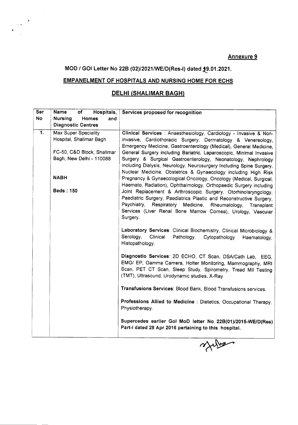# MOD / GOI Letter No 22B (02)/2021/WE/D(Res-I) dated 29.01.2021.

 $\sim$ 

#### EMPANELMENT OF HOSPITALS AND NURSING HOME FOR ECHS

### DELHI (SHALIMAR BAGH)

| Ser              | Name<br>Hospitals,<br>of       | Services proposed for recognition                                                                                                      |
|------------------|--------------------------------|----------------------------------------------------------------------------------------------------------------------------------------|
| No               | <b>Nursing</b><br>Homes<br>and |                                                                                                                                        |
|                  | <b>Diagnostic Centres</b>      |                                                                                                                                        |
| $\overline{1}$ . | <b>Max Super Speciality</b>    | Clinical Services : Anaesthesiology, Cardiology - Invasive & Non-                                                                      |
|                  | Hospital, Shalimar Bagh        | invasive, Cardiothoracic Surgery, Dermatology & Venereology,                                                                           |
|                  |                                | Emergency Medicine, Gastroenterology (Medical), General Medicine,                                                                      |
|                  | FC-50, C&D Block, Shalimar     | General Surgery including Bariatric, Laparoscopic, Minimal Invasive                                                                    |
|                  | Bagh, New Delhi - 110088       | Surgery & Surgical Gastroenterology, Neonatology, Nephrology                                                                           |
|                  |                                | including Dialysis, Neurology, Neurosurgery Including Spine Surgery,<br>Nuclear Medicine, Obstetrics & Gynaecology including High Risk |
|                  | <b>NABH</b>                    | Pregnancy & Gynaecological Oncology, Oncology (Medical, Surgical,                                                                      |
|                  |                                | Haemato, Radiation), Ophthalmology, Orthopaedic Surgery including                                                                      |
|                  | <b>Beds: 150</b>               | Joint Repiacement & Arthroscopic Surgery, Otorhinolaryngology,                                                                         |
|                  |                                | Paediatric Surgery, Paediatrics Plastic and Reconstructive Surgery,                                                                    |
|                  |                                | Psychiatry,<br>Respiratory Medicine,<br>Rheumatology,<br>Transplant                                                                    |
|                  |                                | Services (Liver Renal Bone Marrow Cornea), Urology, Vascuiar                                                                           |
|                  |                                | Surgery.                                                                                                                               |
|                  |                                |                                                                                                                                        |
|                  |                                | Laboratory Services: Clinical Biochemistry, Clinical Microbiology &                                                                    |
|                  |                                | Serology,<br>Clinical<br>Pathology,<br>Cytopathology<br>Haematology,                                                                   |
|                  |                                | Histopathology.                                                                                                                        |
|                  |                                | Diagnostio Services: 2D ECHO, CT Scan, DSA/Cath Lab, EEG,                                                                              |
|                  |                                | EMG/ EP, Gamma Camera, Holter Monitoring, Mammography, MRI                                                                             |
|                  |                                | Scan, PET CT Scan, Sleep Study, Spirometry, Tread Mil Testing                                                                          |
|                  |                                | (TMT), Ultrasound, Urodynamic studies, X-Ray.                                                                                          |
|                  |                                |                                                                                                                                        |
|                  |                                | Transfusions Services: Blood Bank, Blood Transfusions services.                                                                        |
|                  |                                | Professions Allied to Medicine : Dietetics, Occupational Therapy,                                                                      |
|                  |                                | Physiotherapy.                                                                                                                         |
|                  |                                |                                                                                                                                        |
|                  |                                | Supercedes earlier Gol MoD letter No 22B(01)/2015-WE/D(Res)                                                                            |
|                  |                                | Part-I dated 28 Apr 2016 pertaining to this hospital.                                                                                  |
|                  |                                |                                                                                                                                        |
|                  |                                |                                                                                                                                        |
|                  |                                |                                                                                                                                        |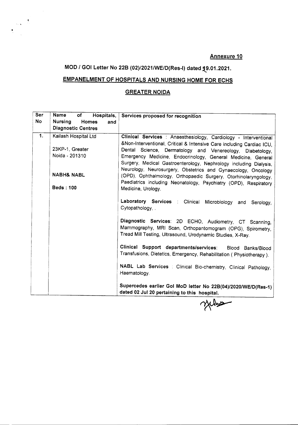# MOD / GOI Letter No 22B (02)/2021/WE/D(Res-I) dated 19.01.2021.

## EMPANELMENT OF HOSPITALS AND NURSING HOME FOR ECHS

#### GREATER NOIDA

| Ser              | Name<br>of<br>Hospitals,       | Services proposed for recognition                                     |
|------------------|--------------------------------|-----------------------------------------------------------------------|
| <b>No</b>        | <b>Nursing</b><br>Homes<br>and |                                                                       |
|                  | <b>Diagnostic Centres</b>      |                                                                       |
| $\overline{1}$ . | Kailash Hospital Ltd           | Clinical Services : Anaesthesiology, Cardiology - Interventional      |
|                  |                                | &Non-Interventional, Critical & Intensive Care including Cardiac ICU, |
|                  | 23KP-1, Greater                | Dental Science, Dermatology and Venereology, Diabetology,             |
|                  | Noida - 201310                 | Emergency Medicine, Endocrinology, General Medicine, General          |
|                  |                                | Surgery, Medical Gastroenterology, Nephrology including Dialysis,     |
|                  |                                | Neurology, Neurosurgery, Obstetrics and Gynaecology, Oncology         |
|                  | <b>NABH&amp; NABL</b>          | (OPD), Ophthalmology, Orthopaedic Surgery, Otorhinolaryngology,       |
|                  |                                | Paediatrics including Neonatology, Psychiatry (OPD), Respiratory      |
|                  | <b>Beds: 100</b>               | Medicine, Urology.                                                    |
|                  |                                |                                                                       |
|                  |                                | Laboratory Services : Clinical Microbiology and Serology,             |
|                  |                                | Cytopathology, .                                                      |
|                  |                                |                                                                       |
|                  |                                | Diagnostic Services: 2D ECHO, Audiometry, CT Scanning,                |
|                  |                                | Mammography, MRI Scan, Orthopantomogram (OPG), Spirometry,            |
|                  |                                | Tread Mill Testing, Ultrasound, Urodynamic Studies, X-Ray.            |
|                  |                                |                                                                       |
|                  |                                | Clinical Support departments/services:<br>Blood Banks/Blood           |
|                  |                                | Transfusions, Dietetics, Emergency, Rehabilitation (Physiotherapy).   |
|                  |                                |                                                                       |
|                  |                                | NABL Lab Services : Clinical Bio-chemistry, Clinical Pathology,       |
|                  |                                | Haematology.                                                          |
|                  |                                |                                                                       |
|                  |                                | Supercedes earlier Gol MoD letter No 22B(04)/2020/WE/D(Res-1)         |
|                  |                                | dated 02 Jul 20 pertaining to this hospital.                          |

mas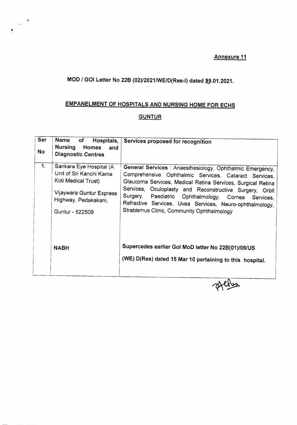## **MOD** / GOI Letter No 22B (02)/2021/WE/D(Res-I) dated  $39.01.2021$ .

 $\frac{c}{\sqrt{2}}$ 

## **EMPANELMENT OF HOSPITALS AND NURSING HOME FOR ECHS**

#### **GUNTUR**

| Ser<br><b>No</b> | Name<br>of<br>Hospitals,<br><b>Nursing</b><br><b>Homes</b><br>and<br><b>Diagnostic Centres</b>                                                   | Services proposed for recognition                                                                                                                                                                                                                                                                                                                                                                                  |
|------------------|--------------------------------------------------------------------------------------------------------------------------------------------------|--------------------------------------------------------------------------------------------------------------------------------------------------------------------------------------------------------------------------------------------------------------------------------------------------------------------------------------------------------------------------------------------------------------------|
| $\mathbf{1}$ .   | Sankara Eye Hospital (A<br>Unit of Sri Kanchi Kama<br>Koti Medical Trust)<br>Vijaywara Guntur Express<br>Highway, Pedakakani,<br>Guntur - 522509 | General Services: Anaesthesiology, Ophthalmic Emergency,<br>Comprehensive Ophthalmic Services, Cataract Services,<br>Glaucoma Services, Medical Retina Services, Surgical Retina<br>Services, Oculoplasty and Reconstructive Surgery, Orbit<br>Surgery,<br>Paediatric Ophthalmology, Cornea<br>Services.<br>Refractive Services, Uvea Services, Neuro-ophthalmology,<br>Strabismus Clinic, Community Ophthalmology |
|                  | <b>NABH</b>                                                                                                                                      | Supercedes earlier Gol MoD letter No 22B(01)/09/US<br>(WE) D(Res) dated 15 Mar 10 pertaining to this hospital.                                                                                                                                                                                                                                                                                                     |

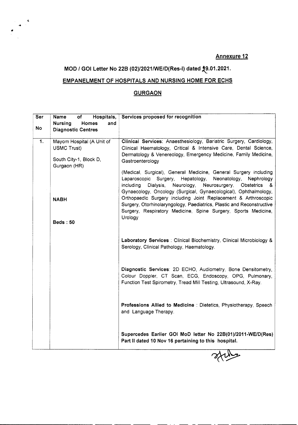# MOD / GOI Letter No 22B (02)/2021/WE/D(Res-I) dated  $29.01.2021$ .

 $\frac{1}{2}$ 

#### EMPANELMENT OF HOSPITALS AND NURSING HOME FOR ECHS

#### **GURGAON**

| Ser              | Name<br>of<br>Hospitals,       | Services proposed for recognition                                          |
|------------------|--------------------------------|----------------------------------------------------------------------------|
|                  | <b>Nursing</b><br>Homes<br>and |                                                                            |
| No               | <b>Diagnostic Centres</b>      |                                                                            |
|                  |                                |                                                                            |
| $\overline{1}$ . | Mayom Hospital (A Unit of      | Clinical Services: Anaesthesiology, Bariatric Surgery, Cardiology,         |
|                  | <b>USMC Trust)</b>             | Clinical Haematology, Critical & Intensive Care, Dental Science,           |
|                  |                                | Dermatology & Venereology, Emergency Medicine, Family Medicine,            |
|                  | South City-1, Block D,         | Gastroenterology                                                           |
|                  | Gurgaon (HR)                   |                                                                            |
|                  |                                | (Medical, Surgical), General Medicine, General Surgery including           |
|                  |                                | Laparoscopic Surgery, Hepatology,<br>Neonatology,<br>Nephrology            |
|                  |                                | Dialysis,<br>Neurology,<br>Neurosurgery,<br>including<br>Obstetrics<br>- & |
|                  |                                | Gynaecology, Oncology (Surgical, Gynaecological), Ophthalmology,           |
|                  |                                | Orthopaedic Surgery including Joint Replacement & Arthroscopic             |
|                  | <b>NABH</b>                    | Surgery, Otorhinolaryngology, Paediatrics, Plastic and Reconstructive      |
|                  |                                | Surgery, Respiratory Medicine, Spine Surgery, Sports Medicine,             |
|                  |                                |                                                                            |
|                  | <b>Beds: 50</b>                | Urology                                                                    |
|                  |                                |                                                                            |
|                  |                                |                                                                            |
|                  |                                | Laboratory Services: Clinical Biochemistry, Clinical Microbiology &        |
|                  |                                | Serology, Clinical Pathology, Haematology.                                 |
|                  |                                |                                                                            |
|                  |                                |                                                                            |
|                  |                                |                                                                            |
|                  |                                | Diagnostic Services: 2D ECHO, Audiometry, Bone Densitometry,               |
|                  |                                | Colour Doppler, CT Scan, ECG, Endoscopy, OPG, Pulmonary,                   |
|                  |                                | Function Test Spirometry, Tread Mill Testing, Ultrasound, X-Ray.           |
|                  |                                |                                                                            |
|                  |                                |                                                                            |
|                  |                                |                                                                            |
|                  |                                | Professions Allied to Medicine: Dietetics, Physiotherapy, Speech           |
|                  |                                | and Language Therapy.                                                      |
|                  |                                |                                                                            |
|                  |                                |                                                                            |
|                  |                                | Supercedes Earlier GOI MoD letter No 22B(01)/2011-WE/D(Res)                |
|                  |                                | Part II dated 10 Nov 16 pertaining to this hospital.                       |
|                  |                                |                                                                            |

Alle

- .. - - -- - -- --- --------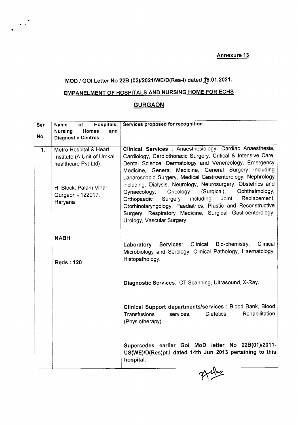# MOD / GOI Letter No 22B (02)/2021/WE/D(Res-I) dated  $29.01.2021$ .

..

## EMPANELMENT OF HOSPITALS AND NURSING HOME FOR ECHS

### **GURGAON**

| <b>Ser</b>       | Hospitals,<br><b>Name</b><br>оf                                              | Services proposed for recognition                                                                                                                                                                                                                                                                                                                                                                                  |
|------------------|------------------------------------------------------------------------------|--------------------------------------------------------------------------------------------------------------------------------------------------------------------------------------------------------------------------------------------------------------------------------------------------------------------------------------------------------------------------------------------------------------------|
|                  | Homes<br>and<br><b>Nursing</b>                                               |                                                                                                                                                                                                                                                                                                                                                                                                                    |
| <b>No</b>        | <b>Diagnostic Centres</b>                                                    |                                                                                                                                                                                                                                                                                                                                                                                                                    |
| $\overline{1}$ . | Metro Hospital & Heart<br>Institute (A Unit of Umkal<br>healthcare Pvt Ltd). | Clinical Services : Anaesthesiology, Cardiac Anaesthesia,<br>Cardiology, Cardiothoracic Surgery, Critical & Intensive Care,<br>Dental Science, Dermatology and Venereology, Emergency<br>Medicine, General Medicine, General Surgery including                                                                                                                                                                     |
|                  | H Block, Palam Vihar,<br>Gurgaon - 122017,<br>Haryana                        | Laparoscopic Surgery, Medical Gastroenterology, Nephrology<br>including, Dialysis, Neurology, Neurosurgery, Obstetrics and<br>(Surgical),<br>Ophthalmology,<br>Oncology<br>Gynaecology,<br>Joint<br>Replacement,<br>including<br>Surgery<br>Orthopaedic<br>Otorhinolaryngology, Paediatrics, Plastic and Reconstructive<br>Surgery, Respiratory Medicine, Surgical Gastroenterology,<br>Urology, Vascular Surgery. |
|                  | <b>NABH</b>                                                                  | Clinical<br>Clinical Bio-chemistry,<br>Laboratory Services:<br>Microbiology and Serology, Clinical Pathology, Haematology,                                                                                                                                                                                                                                                                                         |
|                  | <b>Beds: 120</b>                                                             | Histopathology.                                                                                                                                                                                                                                                                                                                                                                                                    |
|                  |                                                                              | Diagnostic Services: CT Scanning, Ultrasound, X-Ray.                                                                                                                                                                                                                                                                                                                                                               |
|                  |                                                                              | Clinical Support departments/services : Blood Bank, Blood<br>Rehabilitation<br>Dietetics,<br>Transfusions<br>services,<br>(Physiotherapy).                                                                                                                                                                                                                                                                         |
|                  |                                                                              | Supercedes earlier Gol MoD letter No 22B(01)/2011-<br>US(WE)/D(Res)pt.I dated 14th Jun 2013 pertaining to this<br>hospital.                                                                                                                                                                                                                                                                                        |

--- ---------------------------------------------

 $\gamma$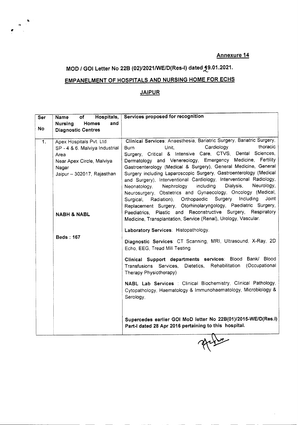$\cdot$ 

# MOD / GOI Letter No 22B (02)/2021/WE/D(Res-I) dated.,19.01.2021.

",

# EMPANELMENT OF HOSPITALS AND NURSING HOME FOR ECHS

### JAIPUR

| <b>Ser</b>       | Hospitals,<br>Name<br>of       | Services proposed for recognition                                       |
|------------------|--------------------------------|-------------------------------------------------------------------------|
|                  | <b>Nursing</b><br>Homes<br>and |                                                                         |
| No               | <b>Diagnostic Centres</b>      |                                                                         |
|                  |                                |                                                                         |
| $\overline{1}$ . | Apex Hospitals Pvt. Ltd.       | Clinical Services: Anaesthesia, Bariatric Surgery, Bariatric Surgery,   |
|                  | SP - 4 & 6. Malviya Industrial | thoracic<br>Cardiology<br>Unit.<br>Burn                                 |
|                  | Area                           | Surgery, Critical & Intensive Care, CTVS, Dental Sciences,              |
|                  | Near Apex Circle, Malviya      | Dermatology and Venereology, Emergency Medicine, Fertility              |
|                  | Nagar                          | Gastroenterology (Medical & Surgery), General Medicine, General         |
|                  | Jaipur - 302017, Rajasthan     | Surgery including Laparoscopic Surgery, Gastroenterology (Medical       |
|                  |                                | and Surgery), Interventional Cardiology, Interventional Radiology,      |
|                  |                                | Dialysis,<br>Neurology,<br>including<br>Nephrology<br>Neonatology,      |
|                  |                                | Neurosurgery, Obstetrics and Gynaecology, Oncology (Medical,            |
|                  |                                | Including<br>Joint<br>Radiation), Orthopaedic<br>Surgery<br>Surgical,   |
|                  |                                | Replacement Surgery, Otorhinolaryngology, Paediatric Surgery,           |
|                  | <b>NABH &amp; NABL</b>         | Plastic and Reconstructive Surgery, Respiratory<br><b>Paediatrics</b>   |
|                  |                                | Medicine, Transplantation, Service (Renal), Urology, Vascular.          |
|                  |                                |                                                                         |
|                  |                                | Laboratory Services: Histopathology.                                    |
|                  | <b>Beds: 167</b>               |                                                                         |
|                  |                                | Diagnostic Services: CT Scanning, MRI, Ultrasound, X-Ray, 2D            |
|                  |                                | Echo, EEG, Tread Mill Testing.                                          |
|                  |                                | Clinical Support departments services: Blood Bank/ Blood                |
|                  |                                | (Occupational<br>Rehabilitation<br>Transfusions Services,<br>Dietetics, |
|                  |                                | Therapy Physiotherapy)                                                  |
|                  |                                |                                                                         |
|                  |                                | NABL Lab Services : Clinical Biochemistry, Clinical Pathology,          |
|                  |                                | Cytopathology, Haematology & Immunohaematology, Microbiology &          |
|                  |                                | Serology,                                                               |
|                  |                                |                                                                         |
|                  |                                |                                                                         |
|                  |                                | Supercedes earlier GOI MoD letter No 22B(01)/2015-WE/D(Res.I)           |
|                  |                                | Part-I dated 28 Apr 2016 pertaining to this hospital.                   |
|                  |                                |                                                                         |
|                  |                                |                                                                         |
|                  |                                |                                                                         |
|                  |                                |                                                                         |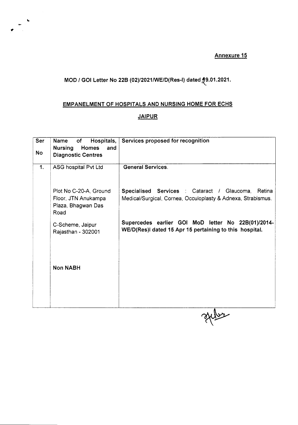# MOD / GOI Letter No 22B (02)/2021/WE/D(Res-I) dated  $9.01.2021$ .

### EMPANELMENT OF HOSPITALS AND NURSING HOME FOR ECHS

#### JAIPUR

| Ser<br>No | Name<br>of<br><b>Nursing</b><br><b>Homes</b><br>and<br><b>Diagnostic Centres</b> | Hospitals, Services proposed for recognition                                                                       |
|-----------|----------------------------------------------------------------------------------|--------------------------------------------------------------------------------------------------------------------|
| 1.        | ASG hospital Pvt Ltd                                                             | <b>General Services.</b>                                                                                           |
|           | Plot No C-20-A, Ground<br>Floor, JTN Anukampa<br>Plaza, Bhagwan Das<br>Road      | Specialised Services : Cataract / Glaucoma, Retina<br>Medical/Surgical, Cornea, Occuloplasty & Adnexa, Strabismus. |
|           | C-Scheme, Jaipur<br>Rajasthan - 302001                                           | Supercedes earlier GOI MoD letter No 22B(01)/2014-<br>WE/D(Res)I dated 15 Apr 15 pertaining to this hospital.      |
|           | <b>Non NABH</b>                                                                  |                                                                                                                    |
|           |                                                                                  |                                                                                                                    |

styps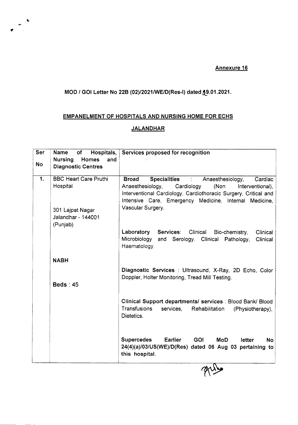### MOD / GOI Letter No 22B (02)/2021/WE/D(Res-I) dated 19.01.2021.

#### EMPANELMENT OF HOSPITALS AND NURSING HOME FOR ECHS

#### **JALANDHAR**

| Ser       | <b>Name</b><br>Hospitals,<br>of                                                                | Services proposed for recognition                                                                                                                                                                                                                                                    |
|-----------|------------------------------------------------------------------------------------------------|--------------------------------------------------------------------------------------------------------------------------------------------------------------------------------------------------------------------------------------------------------------------------------------|
| <b>No</b> | <b>Nursing</b><br>Homes<br>and<br><b>Diagnostic Centres</b>                                    |                                                                                                                                                                                                                                                                                      |
| 1.        | <b>BBC Heart Care Pruthi</b><br>Hospital<br>301 Lajpat Nagar<br>Jalandhar - 144001<br>(Punjab) | <b>Broad</b><br><b>Specialities :</b><br>Anaesthesiology,<br>Cardiac<br>(Non<br>Anaesthesiology,<br>Cardiology<br>Interventional),<br>Interventional Cardiology, Cardiothoracic Surgery, Critical and<br>Intensive Care, Emergency Medicine, Internal Medicine,<br>Vascular Surgery. |
|           |                                                                                                | Laboratory<br><b>Services:</b><br>Clinical<br>Clinical<br>Bio-chemistry.<br>Microbiology and Serology. Clinical Pathology,<br>Clinical<br>Haematology.                                                                                                                               |
|           | <b>NABH</b>                                                                                    |                                                                                                                                                                                                                                                                                      |
|           | Beds: $45$                                                                                     | Diagnostic Services : Ultrasound, X-Ray, 2D Echo, Color<br>Doppler, Holter Monitoring, Tread Mill Testing.                                                                                                                                                                           |
|           |                                                                                                | Clinical Support departments/ services : Blood Bank/ Blood<br>Transfusions<br>services,<br>Rehabilitation<br>(Physiotherapy),<br>Dietetics.                                                                                                                                          |
|           |                                                                                                | <b>GOI</b><br><b>Supercedes</b><br><b>Earlier</b><br><b>MoD</b><br>letter<br><b>No</b><br>24(4)(a)/03/US(WE)/D(Res) dated 06 Aug 03 pertaining to<br>this hospital.                                                                                                                  |
|           |                                                                                                |                                                                                                                                                                                                                                                                                      |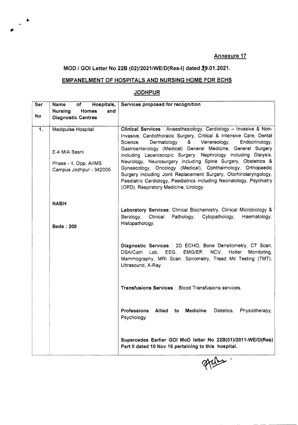### MOD / GOI Letter No 22B (02)/2021/WE/D(Res-I) dated 29.01.2021.

,.,

#### EMPANELMENT OF HOSPITALS AND NURSING HOME FOR ECHS

#### JODHPUR

| Ser<br>No | Hospitals,<br>Name<br>of<br><b>Nursing</b><br>Homes<br>and         | Services proposed for recognition                                                                                                                                                                                                                                                                                                                                                                                                                                                                                                                                                             |
|-----------|--------------------------------------------------------------------|-----------------------------------------------------------------------------------------------------------------------------------------------------------------------------------------------------------------------------------------------------------------------------------------------------------------------------------------------------------------------------------------------------------------------------------------------------------------------------------------------------------------------------------------------------------------------------------------------|
| 1.        | <b>Diagnostic Centres</b><br>Medipulse Hospital                    | Clinical Services : Anaesthesiology, Cardiology - Invasive & Non-                                                                                                                                                                                                                                                                                                                                                                                                                                                                                                                             |
|           | E-4 MIA Basni<br>Phase - II, Opp. AllMS<br>Campus Jodhpur - 342005 | Invasive, Cardiothoracic Surgery, Critical & Intensive Care, Dental<br>Dermatology<br>&<br>Venereology,<br>Endocrinology,<br>Science,<br>Gastroenterology (Medical) General Medicine, General Surgery<br>including Laparoscopic Surgery, Nephrology including Dialysis,<br>Neurology, Neurosurgery including Spine Surgery, Obstetrics &<br>Gynaecology, Oncology (Medical), Ophthalmology, Orthopaedic<br>Surgery including Joint Replacement Surgery, Otorhinolaryngology,<br>Paediatric Cardiology, Paediatrics including Neonatology, Psychiatry<br>(OPD), Respiratory Medicine, Urology. |
|           | <b>NABH</b><br><b>Beds: 200</b>                                    | Laboratory Services: Clinical Biochemistry, Clinical Microbiology &<br>Haematology,<br>Clinical<br>Pathology, Cytopathology,<br>Serology,<br>Histopathology.                                                                                                                                                                                                                                                                                                                                                                                                                                  |
|           |                                                                    | Diagnostic Services : 2D ECHO, Bone Densitometry, CT Scan,<br>DSA/Cath<br>EEG.<br>EMG/EP, NCV, Holter<br>Monitoring,<br>Lab.<br>Mammography, MRI Scan, Spirometry, Tread Mil Testing (TMT),<br>Ultrasound, X-Ray.                                                                                                                                                                                                                                                                                                                                                                             |
|           |                                                                    | Transfusions Services : Blood Transfusions services.                                                                                                                                                                                                                                                                                                                                                                                                                                                                                                                                          |
|           |                                                                    | <b>Professions</b><br>Allied to Medicine:<br>Dietetics,<br>Physiotherapy,<br>Psychology.                                                                                                                                                                                                                                                                                                                                                                                                                                                                                                      |
|           |                                                                    | Supercedes Earlier GOI MoD letter No 22B(01)/2011-WE/D(Res)<br>Part II dated 10 Nov 16 pertaining to this hospital.                                                                                                                                                                                                                                                                                                                                                                                                                                                                           |

apelles.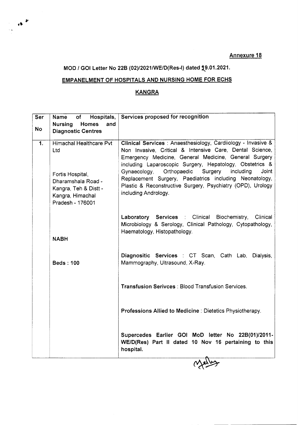## MOD / GOI Letter No 22B (02)/2021/WE/D(Res-I) dated 19.01.2021.

## EMPANELMENT OF HOSPITALS AND NURSING HOME FOR ECHS

### KANGRA

| Ser              | Hospitals,<br>Name<br>of       | Services proposed for recognition                                                                                    |
|------------------|--------------------------------|----------------------------------------------------------------------------------------------------------------------|
|                  | <b>Nursing</b><br>Homes<br>and |                                                                                                                      |
| No               | <b>Diagnostic Centres</b>      |                                                                                                                      |
|                  |                                |                                                                                                                      |
| $\overline{1}$ . | Himachal Healthcare Pyt        | Clinical Services : Anaesthesiology, Cardiiology - Invasive &                                                        |
|                  | Ltd                            | Non Invasive, Critical & Intensive Care, Dental Science,                                                             |
|                  |                                | Emergency Medicine, General Medicine, General Surgery                                                                |
|                  |                                | including Laparoscopic Surgery, Hepatology, Obstetrics &                                                             |
|                  | Fortis Hospital,               | Surgery<br>Gynaecology, Orthopaedic<br>including<br>Joint<br>Replacement Surgery, Paediatrics including Neonatology, |
|                  | Dharamshala Road -             | Plastic & Reconstructive Surgery, Psychiatry (OPD), Urology                                                          |
|                  | Kangra, Teh & Distt -          | including Andrology.                                                                                                 |
|                  | Kangra, Himachal               |                                                                                                                      |
|                  | Pradesh - 176001               |                                                                                                                      |
|                  |                                | Laboratory Services : Clinical Biochemistry,<br>Clinical                                                             |
|                  |                                | Microbiology & Serology, Clinical Pathology, Cytopathology,                                                          |
|                  |                                | Haematology, Histopathology.                                                                                         |
|                  | <b>NABH</b>                    |                                                                                                                      |
|                  |                                |                                                                                                                      |
|                  |                                | Diagnositic Services : CT Scan, Cath Lab, Dialysis,                                                                  |
|                  | <b>Beds: 100</b>               | Mammography, Ultrasound, X-Ray.                                                                                      |
|                  |                                |                                                                                                                      |
|                  |                                |                                                                                                                      |
|                  |                                | <b>Transfusion Serivces: Blood Transfusion Services.</b>                                                             |
|                  |                                |                                                                                                                      |
|                  |                                |                                                                                                                      |
|                  |                                | Professions Allied to Medicine: Dietetics Physiotherapy.                                                             |
|                  |                                |                                                                                                                      |
|                  |                                |                                                                                                                      |
|                  |                                | Supercedes Earlier GOI MoD letter No 22B(01)/2011-                                                                   |
|                  |                                | WE/D(Res) Part II dated 10 Nov 16 pertaining to this<br>hospital.                                                    |
|                  |                                |                                                                                                                      |
|                  |                                |                                                                                                                      |
|                  |                                |                                                                                                                      |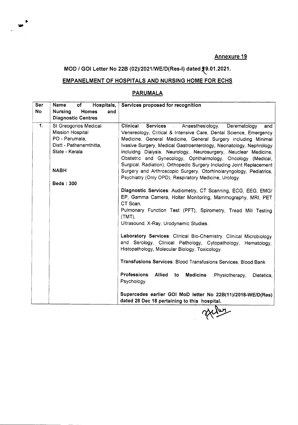# MOD / GOI Letter No 22B (02)/2021/WE/D(Res-I) dated **\$9.01.2021**.

• .\_

 $\mathbf{r}$ 

#### EMPANELMENT OF HOSPITALS AND NURSING HOME FOR ECHS

#### PARUMALA

| Ser           | Name<br>of<br>Hospitals,              | Services proposed for recognition                                               |
|---------------|---------------------------------------|---------------------------------------------------------------------------------|
| No            | <b>Nursing</b><br><b>Homes</b><br>and |                                                                                 |
|               | <b>Diagnostic Centres</b>             |                                                                                 |
| <sup>1.</sup> | St Greogorios Medical                 | Clinical<br><b>Services</b><br>: Anaesthesiology,<br>Derematology<br>and        |
|               | <b>Mission Hospital</b>               | Venereology, Critical & Intensive Care, Dental Science, Emergency               |
|               | PO - Parumala.                        | Medicine, General Medicine, General Surgery including Minimal                   |
|               | Distt - Pathanamthitta,               | Ivasive Surgery, Medical Gastroenterology, Neonatology, Nephrology              |
|               | State - Kerala                        | incluidng Dialysis, Neurology, Neurosurgery, Neuclear Medicine,                 |
|               |                                       | Obstetric and Gynecology, Ophthalmology, Oncology (Medical,                     |
|               |                                       | Surgical, Radiation), Orthopedic Surgery Including Joint Replacement            |
|               | <b>NABH</b>                           | Surgery and Arthroscopic Surgery, Otorhinolaryngology, Pediatrics,              |
|               |                                       | Psychiatry (Only OPD), Respiratory Medicine, Urology.                           |
|               | <b>Beds: 300</b>                      |                                                                                 |
|               |                                       | Diagnostic Services: Audiometry, CT Scanning, ECG, EEG, EMG/                    |
|               |                                       | EP, Gamma Camera, Holter Monitoring, Mammography, MRI, PET                      |
|               |                                       | CT Scan,                                                                        |
|               |                                       | Pulmonary Function Test (PFT), Spirometry, Tread Mill Testing                   |
|               |                                       | $(TMT)$ ,                                                                       |
|               |                                       | Ultrasound, X-Ray, Urodynamic Studies.                                          |
|               |                                       |                                                                                 |
|               |                                       | Laboratory Services: Clinical Bio-Chemistry, Clinical Microbiology              |
|               |                                       | and Serology, Clinical Pathology, Cytopathology, Hematology,                    |
|               |                                       | Histopathology, Molecular Biology, Toxicology.                                  |
|               |                                       |                                                                                 |
|               |                                       | Transfusions Services: Blood Transfusions Services, Blood Bank                  |
|               |                                       | Professions<br>Allied<br><b>Medicine</b><br>:Physiotherapy,<br>to<br>Dietetics, |
|               |                                       | Psychology.                                                                     |
|               |                                       |                                                                                 |
|               |                                       | Supercedes earlier GOI MoD letter No 22B(11)/2018-WE/D(Res)                     |
|               |                                       | dated 28 Dec 18 pertaining to this hospital.                                    |

steps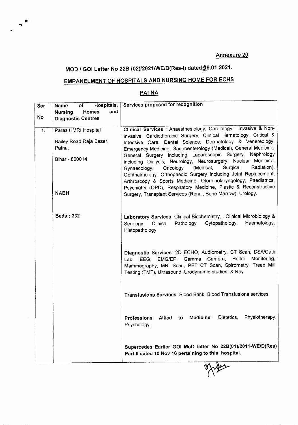# MOD *I* GOI Letter No 228 (02)/2021IWE/D(Res-l)dated~9.01.2021.

 $\begin{pmatrix} 1 & 1 \\ 1 & 1 \end{pmatrix}$ 

## EMPANELMENT OF HOSPITALS AND NURSING HOME FOR ECHS

#### PATNA

| Ser              | Hospitals,<br><b>Name</b><br>of       | Services proposed for recognition                                                                                                                                                                 |
|------------------|---------------------------------------|---------------------------------------------------------------------------------------------------------------------------------------------------------------------------------------------------|
|                  | and<br><b>Nursing</b><br><b>Homes</b> |                                                                                                                                                                                                   |
| No               | <b>Diagnostic Centres</b>             |                                                                                                                                                                                                   |
|                  |                                       |                                                                                                                                                                                                   |
| $\overline{1}$ . | Paras HMRI Hospital                   | Clinical Services : Anaesthesiology, Cardiology - Invasive & Non-                                                                                                                                 |
|                  |                                       | Invasive, Cardiothoracic Surgery, Clinical Hematology, Critical &                                                                                                                                 |
|                  | Bailey Road Raja Bazar,               | Intensive Care, Dental Science, Dermatology & Venereology,                                                                                                                                        |
|                  | Patna,                                | Emergency Medicine, Gastroenterology (Medical), General Medicine,                                                                                                                                 |
|                  | Bihar - 800014                        | General Surgery including Laparoscopic Surgery, Nephrology<br>including Dialysis, Neurology, Neurosurgery, Nuclear Medicine,<br>Surgical,<br>Radiation),<br>(Medical,<br>Oncology<br>Gynaecology, |
|                  |                                       | Ophthalmology, Orthopaedic Surgery including Joint Replacement,                                                                                                                                   |
|                  |                                       | Arthroscopy & Sports Medicine, Otorhinolaryngology, Paediatrics,                                                                                                                                  |
|                  |                                       | Psychiatry (OPD), Respiratory Medicine, Plastic & Reconstructive                                                                                                                                  |
|                  | <b>NABH</b>                           | Surgery, Transplant Services (Renal, Bone Marrow), Urology.                                                                                                                                       |
|                  |                                       |                                                                                                                                                                                                   |
|                  |                                       |                                                                                                                                                                                                   |
|                  | <b>Beds: 332</b>                      | Laboratory Services: Clinical Biochemistry, . Clinical Microbiology &                                                                                                                             |
|                  |                                       | Haematology,<br>Cytopathology,<br>Clinical<br>Pathology,<br>Serology,                                                                                                                             |
|                  |                                       | Histopathology                                                                                                                                                                                    |
|                  |                                       |                                                                                                                                                                                                   |
|                  |                                       |                                                                                                                                                                                                   |
|                  |                                       | Diagnostic Services: 2D ECHO, Audiometry, CT Scan, DSA/Cath                                                                                                                                       |
|                  |                                       | EMG/EP, Gamma Camera, Holter<br>Monitoring,<br>Lab, EEG,                                                                                                                                          |
|                  |                                       | Mammography, MRI Scan, PET CT Scan, Spirometry, Tread Mill                                                                                                                                        |
|                  |                                       | Testing (TMT), Ultrasound, Urodynamic studies, X-Ray.                                                                                                                                             |
|                  |                                       |                                                                                                                                                                                                   |
|                  |                                       |                                                                                                                                                                                                   |
|                  |                                       | Transfusions Services: Blood Bank, Blood Transfusions services                                                                                                                                    |
|                  |                                       |                                                                                                                                                                                                   |
|                  |                                       |                                                                                                                                                                                                   |
|                  |                                       | Physiotherapy,<br>Medicine:<br>Dietetics,<br>Allied to<br>Professions                                                                                                                             |
|                  |                                       | Psychology,                                                                                                                                                                                       |
|                  |                                       |                                                                                                                                                                                                   |
|                  |                                       |                                                                                                                                                                                                   |
|                  |                                       | Supercedes Earlier GOI MoD letter No 22B(01)/2011-WE/D(Res)                                                                                                                                       |
|                  |                                       | Part II dated 10 Nov 16 pertaining to this hospital.                                                                                                                                              |
|                  |                                       |                                                                                                                                                                                                   |
|                  |                                       | И                                                                                                                                                                                                 |

angre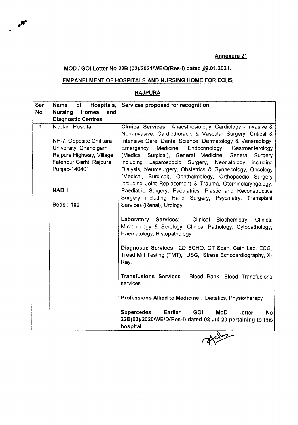## MOD / GOI Letter No 22B (02)/2021/WE/D(Res-I) dated  $$9.01.2021$ .

 $\mathbf{y}^{\mathbf{p}^{\prime}}$ 

### EMPANELMENT OF HOSPITALS AND NURSING HOME FOR ECHS

### RAJPURA

| <b>No</b><br><b>Nursing</b><br><b>Homes</b><br>and<br><b>Diagnostic Centres</b><br>$\overline{1}$ .<br>Neelam Hospital<br>NH-7, Opposite Chitkara<br>University, Chandigarh<br>Medicine,<br>Emergency<br>Rajpura Highway, Village<br>Fatehpur Garhi, Rajpura,<br>including Laparoscopic Surgery, Neonatology<br>Punjab-140401<br>Dialysis, Neurosurgery, Obstetrics & Gynaecology, Oncology<br>(Medical, Surgical), Ophthalmology, Orthopaedic Surgery<br>including Joint Replacement & Trauma, Otorhinolaryngology,<br><b>NABH</b><br>Surgery including Hand Surgery, Psychiatry, Transplant<br><b>Beds: 100</b><br>Services (Renal), Urology.<br>Laboratory Services:<br>Clinical<br>Biochemistry,<br>Haematology, Histopathology.<br>Ray. | <b>Ser</b> | Name<br>Hospitals,<br>of | Services proposed for recognition                            |
|----------------------------------------------------------------------------------------------------------------------------------------------------------------------------------------------------------------------------------------------------------------------------------------------------------------------------------------------------------------------------------------------------------------------------------------------------------------------------------------------------------------------------------------------------------------------------------------------------------------------------------------------------------------------------------------------------------------------------------------------|------------|--------------------------|--------------------------------------------------------------|
|                                                                                                                                                                                                                                                                                                                                                                                                                                                                                                                                                                                                                                                                                                                                              |            |                          |                                                              |
|                                                                                                                                                                                                                                                                                                                                                                                                                                                                                                                                                                                                                                                                                                                                              |            |                          |                                                              |
|                                                                                                                                                                                                                                                                                                                                                                                                                                                                                                                                                                                                                                                                                                                                              |            |                          | Clinical Services : Anaesthesiology, Cardiology - Invasive & |
|                                                                                                                                                                                                                                                                                                                                                                                                                                                                                                                                                                                                                                                                                                                                              |            |                          | Non-Invasive, Cardiothoracic & Vascular Surgery, Critical &  |
|                                                                                                                                                                                                                                                                                                                                                                                                                                                                                                                                                                                                                                                                                                                                              |            |                          | Intensive Care, Dental Science, Dermatology & Venereology,   |
|                                                                                                                                                                                                                                                                                                                                                                                                                                                                                                                                                                                                                                                                                                                                              |            |                          | Endocrinology, Gastroenterology                              |
|                                                                                                                                                                                                                                                                                                                                                                                                                                                                                                                                                                                                                                                                                                                                              |            |                          | (Medical Surgical), General Medicine, General Surgery        |
|                                                                                                                                                                                                                                                                                                                                                                                                                                                                                                                                                                                                                                                                                                                                              |            |                          | including                                                    |
|                                                                                                                                                                                                                                                                                                                                                                                                                                                                                                                                                                                                                                                                                                                                              |            |                          |                                                              |
|                                                                                                                                                                                                                                                                                                                                                                                                                                                                                                                                                                                                                                                                                                                                              |            |                          |                                                              |
|                                                                                                                                                                                                                                                                                                                                                                                                                                                                                                                                                                                                                                                                                                                                              |            |                          |                                                              |
|                                                                                                                                                                                                                                                                                                                                                                                                                                                                                                                                                                                                                                                                                                                                              |            |                          | Paediatric Surgery, Paediatrics, Plastic and Reconstructive  |
|                                                                                                                                                                                                                                                                                                                                                                                                                                                                                                                                                                                                                                                                                                                                              |            |                          |                                                              |
|                                                                                                                                                                                                                                                                                                                                                                                                                                                                                                                                                                                                                                                                                                                                              |            |                          |                                                              |
|                                                                                                                                                                                                                                                                                                                                                                                                                                                                                                                                                                                                                                                                                                                                              |            |                          |                                                              |
|                                                                                                                                                                                                                                                                                                                                                                                                                                                                                                                                                                                                                                                                                                                                              |            |                          | Clinical                                                     |
|                                                                                                                                                                                                                                                                                                                                                                                                                                                                                                                                                                                                                                                                                                                                              |            |                          | Microbiology & Serology, Clinical Pathology, Cytopathology,  |
|                                                                                                                                                                                                                                                                                                                                                                                                                                                                                                                                                                                                                                                                                                                                              |            |                          |                                                              |
|                                                                                                                                                                                                                                                                                                                                                                                                                                                                                                                                                                                                                                                                                                                                              |            |                          |                                                              |
|                                                                                                                                                                                                                                                                                                                                                                                                                                                                                                                                                                                                                                                                                                                                              |            |                          | Diagnostic Services : 2D ECHO, CT Scan, Cath Lab, ECG,       |
|                                                                                                                                                                                                                                                                                                                                                                                                                                                                                                                                                                                                                                                                                                                                              |            |                          | Tread Mill Testing (TMT), USG, , Stress Echocardiography, X- |
|                                                                                                                                                                                                                                                                                                                                                                                                                                                                                                                                                                                                                                                                                                                                              |            |                          |                                                              |
|                                                                                                                                                                                                                                                                                                                                                                                                                                                                                                                                                                                                                                                                                                                                              |            |                          |                                                              |
|                                                                                                                                                                                                                                                                                                                                                                                                                                                                                                                                                                                                                                                                                                                                              |            |                          | Transfusions Services : Blood Bank, Blood Transfusions       |
| services.                                                                                                                                                                                                                                                                                                                                                                                                                                                                                                                                                                                                                                                                                                                                    |            |                          |                                                              |
| Professions Allied to Medicine : Dietetics, Physiotherapy                                                                                                                                                                                                                                                                                                                                                                                                                                                                                                                                                                                                                                                                                    |            |                          |                                                              |
|                                                                                                                                                                                                                                                                                                                                                                                                                                                                                                                                                                                                                                                                                                                                              |            |                          |                                                              |
| <b>Supercedes</b><br><b>Earlier</b><br><b>GOI</b><br><b>MoD</b><br>letter                                                                                                                                                                                                                                                                                                                                                                                                                                                                                                                                                                                                                                                                    |            |                          | <b>No</b>                                                    |
|                                                                                                                                                                                                                                                                                                                                                                                                                                                                                                                                                                                                                                                                                                                                              |            |                          | 22B(03)/2020/WE/D(Res-I) dated 02 Jul 20 pertaining to this  |
| hospital.                                                                                                                                                                                                                                                                                                                                                                                                                                                                                                                                                                                                                                                                                                                                    |            |                          |                                                              |
|                                                                                                                                                                                                                                                                                                                                                                                                                                                                                                                                                                                                                                                                                                                                              |            |                          |                                                              |
|                                                                                                                                                                                                                                                                                                                                                                                                                                                                                                                                                                                                                                                                                                                                              |            |                          |                                                              |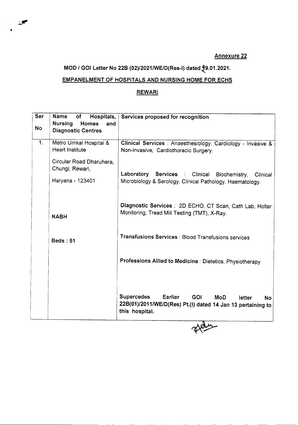# MOD / GOI Letter No 22B (02)/2021/WE/D(Res-I) dated 9.01.2021.

..

## EMPANELMENT OF HOSPITALS AND NURSING HOME FOR ECHS

#### REWARI

| Ser            | <b>Name</b><br>of<br>Hospitals,                                 | Services proposed for recognition                                                                                                                                |
|----------------|-----------------------------------------------------------------|------------------------------------------------------------------------------------------------------------------------------------------------------------------|
| No             | <b>Nursing</b><br>Homes<br>and<br><b>Diagnostic Centres</b>     |                                                                                                                                                                  |
| 1 <sub>1</sub> | Metro Umkal Hospital &<br><b>Heart Institute</b>                | Clinical Services: Anaesthesiology, Cardiology - Invasive &<br>Non-invasive, Cardiothoracic Surgery.                                                             |
|                | Circular Road Dharuhera,<br>Chungi, Rewari,<br>Haryana - 123401 | Laboratory Services : Clinical<br>Biochemistry,<br>Clinical<br>Microbiology & Serology, Clinical Pathology, Haematology.                                         |
|                | <b>NABH</b>                                                     | Diagnostic Services: 2D ECHO, CT Scan, Cath Lab, Holter<br>Monitoring, Tread Mill Testing (TMT), X-Ray.                                                          |
|                | <b>Beds: 51</b>                                                 | Transfusions Services : Blood Transfusions services                                                                                                              |
|                |                                                                 | Professions Allied to Medicine : Dietetics, Physiotherapy                                                                                                        |
|                |                                                                 | <b>Supercedes</b><br>Earlier<br><b>GOI</b><br><b>MoD</b><br>letter<br><b>No</b><br>22B(01)/2011/WE/D(Res) Pt.(I) dated 14 Jan 13 pertaining to<br>this hospital. |

gray